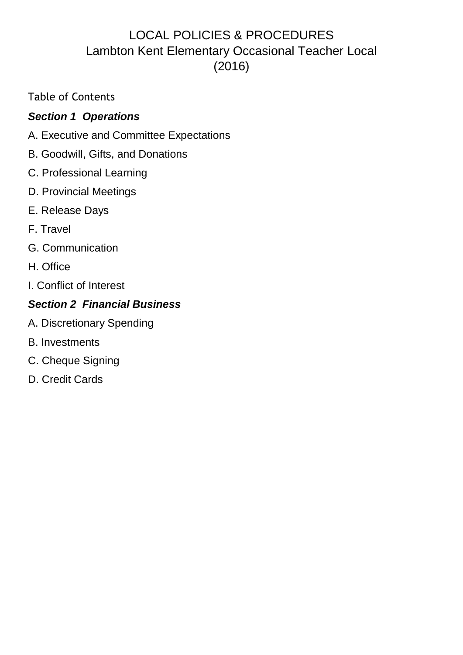# LOCAL POLICIES & PROCEDURES Lambton Kent Elementary Occasional Teacher Local (2016)

Table of Contents

# *Section 1 Operations*

- A. Executive and Committee Expectations
- B. Goodwill, Gifts, and Donations
- C. Professional Learning
- D. Provincial Meetings
- E. Release Days
- F. Travel
- G. Communication
- H. Office
- I. Conflict of Interest

# *Section 2 Financial Business*

- A. Discretionary Spending
- B. Investments
- C. Cheque Signing
- D. Credit Cards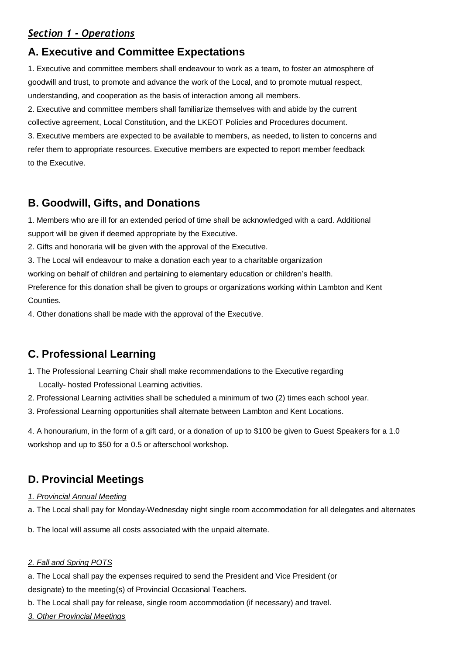### *Section 1 ‐ Operations*

## **A. Executive and Committee Expectations**

1. Executive and committee members shall endeavour to work as a team, to foster an atmosphere of goodwill and trust, to promote and advance the work of the Local, and to promote mutual respect, understanding, and cooperation as the basis of interaction among all members.

2. Executive and committee members shall familiarize themselves with and abide by the current collective agreement, Local Constitution, and the LKEOT Policies and Procedures document. 3. Executive members are expected to be available to members, as needed, to listen to concerns and refer them to appropriate resources. Executive members are expected to report member feedback to the Executive.

## **B. Goodwill, Gifts, and Donations**

1. Members who are ill for an extended period of time shall be acknowledged with a card. Additional support will be given if deemed appropriate by the Executive.

2. Gifts and honoraria will be given with the approval of the Executive.

3. The Local will endeavour to make a donation each year to a charitable organization

working on behalf of children and pertaining to elementary education or children's health.

Preference for this donation shall be given to groups or organizations working within Lambton and Kent Counties.

4. Other donations shall be made with the approval of the Executive.

# **C. Professional Learning**

- 1. The Professional Learning Chair shall make recommendations to the Executive regarding Locally- hosted Professional Learning activities.
- 2. Professional Learning activities shall be scheduled a minimum of two (2) times each school year.
- 3. Professional Learning opportunities shall alternate between Lambton and Kent Locations.

4. A honourarium, in the form of a gift card, or a donation of up to \$100 be given to Guest Speakers for a 1.0 workshop and up to \$50 for a 0.5 or afterschool workshop.

# **D. Provincial Meetings**

#### *1. Provincial Annual Meeting*

a. The Local shall pay for Monday-Wednesday night single room accommodation for all delegates and alternates

b. The local will assume all costs associated with the unpaid alternate.

#### *2. Fall and Spring POTS*

a. The Local shall pay the expenses required to send the President and Vice President (or designate) to the meeting(s) of Provincial Occasional Teachers.

b. The Local shall pay for release, single room accommodation (if necessary) and travel.

*3. Other Provincial Meetings*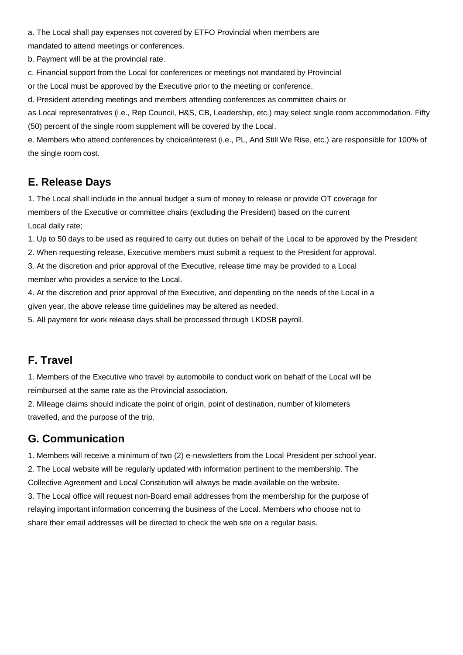a. The Local shall pay expenses not covered by ETFO Provincial when members are

mandated to attend meetings or conferences.

b. Payment will be at the provincial rate.

c. Financial support from the Local for conferences or meetings not mandated by Provincial

or the Local must be approved by the Executive prior to the meeting or conference.

d. President attending meetings and members attending conferences as committee chairs or

as Local representatives (i.e., Rep Council, H&S, CB, Leadership, etc.) may select single room accommodation. Fifty (50) percent of the single room supplement will be covered by the Local.

e. Members who attend conferences by choice/interest (i.e., PL, And Still We Rise, etc.) are responsible for 100% of the single room cost.

#### **E. Release Days**

1. The Local shall include in the annual budget a sum of money to release or provide OT coverage for members of the Executive or committee chairs (excluding the President) based on the current Local daily rate;

1. Up to 50 days to be used as required to carry out duties on behalf of the Local to be approved by the President

2. When requesting release, Executive members must submit a request to the President for approval.

3. At the discretion and prior approval of the Executive, release time may be provided to a Local member who provides a service to the Local.

4. At the discretion and prior approval of the Executive, and depending on the needs of the Local in a given year, the above release time guidelines may be altered as needed.

5. All payment for work release days shall be processed through LKDSB payroll.

#### **F. Travel**

1. Members of the Executive who travel by automobile to conduct work on behalf of the Local will be reimbursed at the same rate as the Provincial association.

2. Mileage claims should indicate the point of origin, point of destination, number of kilometers travelled, and the purpose of the trip.

#### **G. Communication**

1. Members will receive a minimum of two (2) e-newsletters from the Local President per school year. 2. The Local website will be regularly updated with information pertinent to the membership. The Collective Agreement and Local Constitution will always be made available on the website.

3. The Local office will request non-Board email addresses from the membership for the purpose of relaying important information concerning the business of the Local. Members who choose not to share their email addresses will be directed to check the web site on a regular basis.